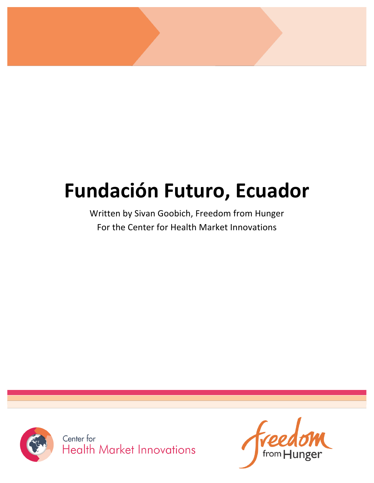# Fundación Futuro, Ecuador

Written by Sivan Goobich, Freedom from Hunger For the Center for Health Market Innovations



from  $H$ unger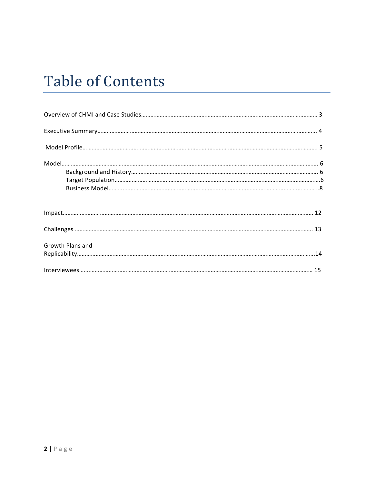## **Table of Contents**

| Growth Plans and |  |
|------------------|--|
|                  |  |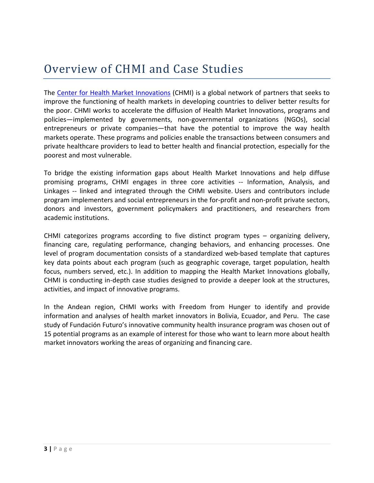### Overview of CHMI and Case Studies

The Center for Health Market Innovations (CHMI) is a global network of partners that seeks to improve the functioning of health markets in developing countries to deliver better results for the poor. CHMI works to accelerate the diffusion of Health Market Innovations, programs and policies—implemented by governments, non-governmental organizations (NGOs), social entrepreneurs or private companies—that have the potential to improve the way health markets operate. These programs and policies enable the transactions between consumers and private healthcare providers to lead to better health and financial protection, especially for the poorest and most vulnerable.

To bridge the existing information gaps about Health Market Innovations and help diffuse promising programs, CHMI engages in three core activities -- Information, Analysis, and Linkages -- linked and integrated through the CHMI website. Users and contributors include program implementers and social entrepreneurs in the for-profit and non-profit private sectors, donors and investors, government policymakers and practitioners, and researchers from academic institutions.

CHMI categorizes programs according to five distinct program types – organizing delivery, financing care, regulating performance, changing behaviors, and enhancing processes. One level of program documentation consists of a standardized web-based template that captures key data points about each program (such as geographic coverage, target population, health focus, numbers served, etc.). In addition to mapping the Health Market Innovations globally, CHMI is conducting in-depth case studies designed to provide a deeper look at the structures, activities, and impact of innovative programs.

In the Andean region, CHMI works with Freedom from Hunger to identify and provide information and analyses of health market innovators in Bolivia, Ecuador, and Peru. The case study of Fundación Futuro's innovative community health insurance program was chosen out of 15 potential programs as an example of interest for those who want to learn more about health market innovators working the areas of organizing and financing care.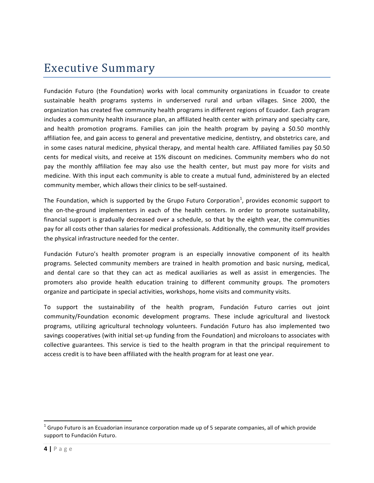### **Executive Summary**

Fundación Futuro (the Foundation) works with local community organizations in Ecuador to create sustainable health programs systems in underserved rural and urban villages. Since 2000, the organization has created five community health programs in different regions of Ecuador. Each program includes a community health insurance plan, an affiliated health center with primary and specialty care, and health promotion programs. Families can join the health program by paying a \$0.50 monthly affiliation fee, and gain access to general and preventative medicine, dentistry, and obstetrics care, and in some cases natural medicine, physical therapy, and mental health care. Affiliated families pay \$0.50 cents for medical visits, and receive at 15% discount on medicines. Community members who do not pay the monthly affiliation fee may also use the health center, but must pay more for visits and medicine. With this input each community is able to create a mutual fund, administered by an elected community member, which allows their clinics to be self-sustained.

The Foundation, which is supported by the Grupo Futuro Corporation<sup>1</sup>, provides economic support to the on-the-ground implementers in each of the health centers. In order to promote sustainability, financial support is gradually decreased over a schedule, so that by the eighth year, the communities pay for all costs other than salaries for medical professionals. Additionally, the community itself provides the physical infrastructure needed for the center.

Fundación Futuro's health promoter program is an especially innovative component of its health programs. Selected community members are trained in health promotion and basic nursing, medical, and dental care so that they can act as medical auxiliaries as well as assist in emergencies. The promoters also provide health education training to different community groups. The promoters organize and participate in special activities, workshops, home visits and community visits.

To support the sustainability of the health program, Fundación Futuro carries out joint community/Foundation economic development programs. These include agricultural and livestock programs, utilizing agricultural technology volunteers. Fundación Futuro has also implemented two savings cooperatives (with initial set-up funding from the Foundation) and microloans to associates with collective guarantees. This service is tied to the health program in that the principal requirement to access credit is to have been affiliated with the health program for at least one year.

!!!!!!!!!!!!!!!!!!!!!!!!!!!!!!!!!!!!!!!!!!!!!!!!!!!!!!!!!!!!

<sup>&</sup>lt;sup>1</sup> Grupo Futuro is an Ecuadorian insurance corporation made up of 5 separate companies, all of which provide support to Fundación Futuro.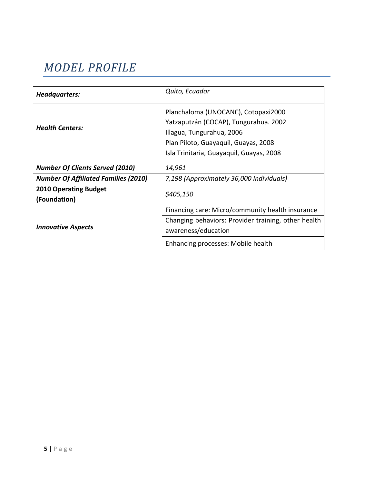### *MODEL&PROFILE*

| Headquarters:                                | Quito, Ecuador                                                                                                                                                                                |
|----------------------------------------------|-----------------------------------------------------------------------------------------------------------------------------------------------------------------------------------------------|
| <b>Health Centers:</b>                       | Planchaloma (UNOCANC), Cotopaxi2000<br>Yatzaputzán (COCAP), Tungurahua. 2002<br>Illagua, Tungurahua, 2006<br>Plan Piloto, Guayaquil, Guayas, 2008<br>Isla Trinitaria, Guayaquil, Guayas, 2008 |
| <b>Number Of Clients Served (2010)</b>       | 14,961                                                                                                                                                                                        |
| <b>Number Of Affiliated Families (2010)</b>  | 7,198 (Approximately 36,000 Individuals)                                                                                                                                                      |
| <b>2010 Operating Budget</b><br>(Foundation) | \$405,150                                                                                                                                                                                     |
| <b>Innovative Aspects</b>                    | Financing care: Micro/community health insurance                                                                                                                                              |
|                                              | Changing behaviors: Provider training, other health<br>awareness/education                                                                                                                    |
|                                              | Enhancing processes: Mobile health                                                                                                                                                            |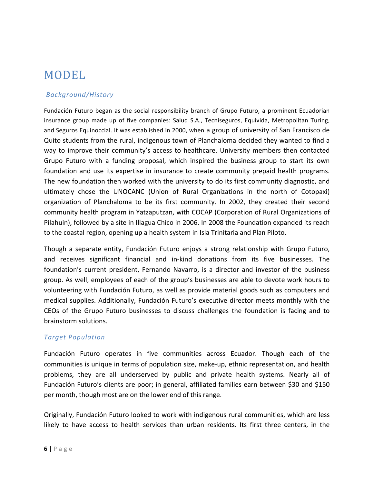### MODEL

#### *!Background/History!*

Fundación Futuro began as the social responsibility branch of Grupo Futuro, a prominent Ecuadorian insurance group made up of five companies: Salud S.A., Tecniseguros, Equivida, Metropolitan Turing, and Seguros Equinoccial. It was established in 2000, when a group of university of San Francisco de Quito students from the rural, indigenous town of Planchaloma decided they wanted to find a way to improve their community's access to healthcare. University members then contacted Grupo Futuro with a funding proposal, which inspired the business group to start its own foundation and use its expertise in insurance to create community prepaid health programs. The new foundation then worked with the university to do its first community diagnostic, and ultimately chose the UNOCANC (Union of Rural Organizations in the north of Cotopaxi) organization of Planchaloma to be its first community. In 2002, they created their second community health program in Yatzaputzan, with COCAP (Corporation of Rural Organizations of Pilahuin), followed by a site in Illagua Chico in 2006. In 2008 the Foundation expanded its reach to the coastal region, opening up a health system in Isla Trinitaria and Plan Piloto.

Though a separate entity, Fundación Futuro enjoys a strong relationship with Grupo Futuro, and receives significant financial and in-kind donations from its five businesses. The foundation's current president, Fernando Navarro, is a director and investor of the business group. As well, employees of each of the group's businesses are able to devote work hours to volunteering with Fundación Futuro, as well as provide material goods such as computers and medical supplies. Additionally, Fundación Futuro's executive director meets monthly with the CEOs of the Grupo Futuro businesses to discuss challenges the foundation is facing and to brainstorm!solutions.

#### *Target!Population*

Fundación Futuro operates in five communities across Ecuador. Though each of the communities is unique in terms of population size, make-up, ethnic representation, and health problems, they are all underserved by public and private health systems. Nearly all of Fundación Futuro's clients are poor; in general, affiliated families earn between \$30 and \$150 per month, though most are on the lower end of this range.

Originally, Fundación Futuro looked to work with indigenous rural communities, which are less likely to have access to health services than urban residents. Its first three centers, in the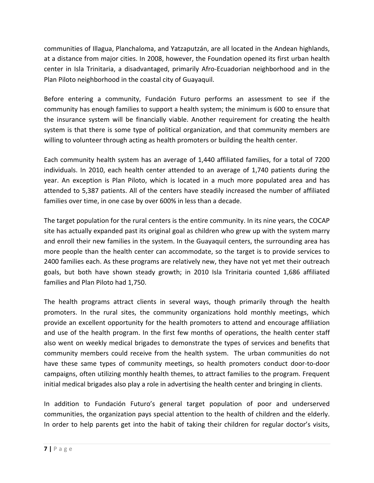communities of Illagua, Planchaloma, and Yatzaputzán, are all located in the Andean highlands, at a distance from major cities. In 2008, however, the Foundation opened its first urban health center in Isla Trinitaria, a disadvantaged, primarily Afro-Ecuadorian neighborhood and in the Plan Piloto neighborhood in the coastal city of Guayaquil.

Before entering a community, Fundación Futuro performs an assessment to see if the community has enough families to support a health system; the minimum is 600 to ensure that the insurance system will be financially viable. Another requirement for creating the health system is that there is some type of political organization, and that community members are willing to volunteer through acting as health promoters or building the health center.

Each community health system has an average of 1,440 affiliated families, for a total of 7200 individuals. In 2010, each health center attended to an average of 1,740 patients during the year. An exception is Plan Piloto, which is located in a much more populated area and has attended to 5,387 patients. All of the centers have steadily increased the number of affiliated families over time, in one case by over 600% in less than a decade.

The target population for the rural centers is the entire community. In its nine years, the COCAP site has actually expanded past its original goal as children who grew up with the system marry and enroll their new families in the system. In the Guayaquil centers, the surrounding area has more people than the health center can accommodate, so the target is to provide services to 2400 families each. As these programs are relatively new, they have not yet met their outreach goals, but both have shown steady growth; in 2010 Isla Trinitaria counted 1,686 affiliated families and Plan Piloto had 1,750.

The health programs attract clients in several ways, though primarily through the health promoters. In the rural sites, the community organizations hold monthly meetings, which provide an excellent opportunity for the health promoters to attend and encourage affiliation and use of the health program. In the first few months of operations, the health center staff also went on weekly medical brigades to demonstrate the types of services and benefits that community members could receive from the health system. The urban communities do not have these same types of community meetings, so health promoters conduct door-to-door campaigns, often utilizing monthly health themes, to attract families to the program. Frequent initial medical brigades also play a role in advertising the health center and bringing in clients.

In addition to Fundación Futuro's general target population of poor and underserved communities, the organization pays special attention to the health of children and the elderly. In order to help parents get into the habit of taking their children for regular doctor's visits,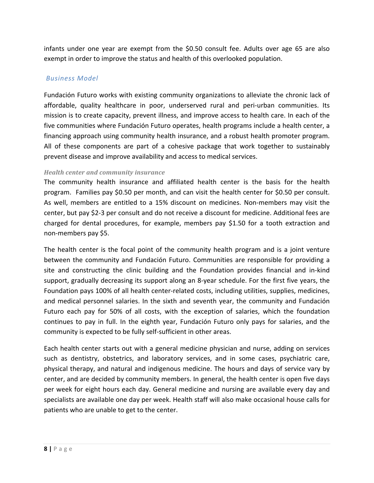infants under one year are exempt from the \$0.50 consult fee. Adults over age 65 are also exempt in order to improve the status and health of this overlooked population.

#### *!Business!Model*

Fundación Futuro works with existing community organizations to alleviate the chronic lack of affordable, quality healthcare in poor, underserved rural and peri-urban communities. Its mission is to create capacity, prevent illness, and improve access to health care. In each of the five communities where Fundación Futuro operates, health programs include a health center, a financing approach using community health insurance, and a robust health promoter program. All of these components are part of a cohesive package that work together to sustainably prevent disease and improve availability and access to medical services.

#### *Health'center'and'community'insurance*

The community health insurance and affiliated health center is the basis for the health program. Families pay \$0.50 per month, and can visit the health center for \$0.50 per consult. As well, members are entitled to a 15% discount on medicines. Non-members may visit the center, but pay \$2-3 per consult and do not receive a discount for medicine. Additional fees are charged for dental procedures, for example, members pay \$1.50 for a tooth extraction and non-members pay \$5.

The health center is the focal point of the community health program and is a joint venture between the community and Fundación Futuro. Communities are responsible for providing a site and constructing the clinic building and the Foundation provides financial and in-kind support, gradually decreasing its support along an 8-year schedule. For the first five years, the Foundation pays 100% of all health center-related costs, including utilities, supplies, medicines, and medical personnel salaries. In the sixth and seventh year, the community and Fundación Futuro each pay for 50% of all costs, with the exception of salaries, which the foundation continues to pay in full. In the eighth year, Fundación Futuro only pays for salaries, and the community is expected to be fully self-sufficient in other areas.

Each health center starts out with a general medicine physician and nurse, adding on services such as dentistry, obstetrics, and laboratory services, and in some cases, psychiatric care, physical therapy, and natural and indigenous medicine. The hours and days of service vary by center, and are decided by community members. In general, the health center is open five days per week for eight hours each day. General medicine and nursing are available every day and specialists are available one day per week. Health staff will also make occasional house calls for patients who are unable to get to the center.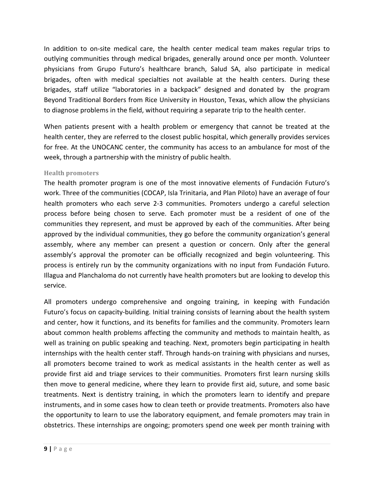In addition to on-site medical care, the health center medical team makes regular trips to outlying communities through medical brigades, generally around once per month. Volunteer physicians from Grupo Futuro's healthcare branch, Salud SA, also participate in medical brigades, often with medical specialties not available at the health centers. During these brigades, staff utilize "laboratories in a backpack" designed and donated by the program Beyond Traditional Borders from Rice University in Houston, Texas, which allow the physicians to diagnose problems in the field, without requiring a separate trip to the health center.

When patients present with a health problem or emergency that cannot be treated at the health center, they are referred to the closest public hospital, which generally provides services for free. At the UNOCANC center, the community has access to an ambulance for most of the week, through a partnership with the ministry of public health.

#### **Health!promoters**

The health promoter program is one of the most innovative elements of Fundación Futuro's work. Three of the communities (COCAP, Isla Trinitaria, and Plan Piloto) have an average of four health promoters who each serve 2-3 communities. Promoters undergo a careful selection process before being chosen to serve. Each promoter must be a resident of one of the communities they represent, and must be approved by each of the communities. After being approved by the individual communities, they go before the community organization's general assembly, where any member can present a question or concern. Only after the general assembly's approval the promoter can be officially recognized and begin volunteering. This process is entirely run by the community organizations with no input from Fundación Futuro. Illagua and Planchaloma do not currently have health promoters but are looking to develop this service.

All promoters undergo comprehensive and ongoing training, in keeping with Fundación Futuro's focus on capacity-building. Initial training consists of learning about the health system and center, how it functions, and its benefits for families and the community. Promoters learn about common health problems affecting the community and methods to maintain health, as well as training on public speaking and teaching. Next, promoters begin participating in health internships with the health center staff. Through hands-on training with physicians and nurses, all promoters become trained to work as medical assistants in the health center as well as provide first aid and triage services to their communities. Promoters first learn nursing skills then move to general medicine, where they learn to provide first aid, suture, and some basic treatments. Next is dentistry training, in which the promoters learn to identify and prepare instruments, and in some cases how to clean teeth or provide treatments. Promoters also have the opportunity to learn to use the laboratory equipment, and female promoters may train in obstetrics. These internships are ongoing; promoters spend one week per month training with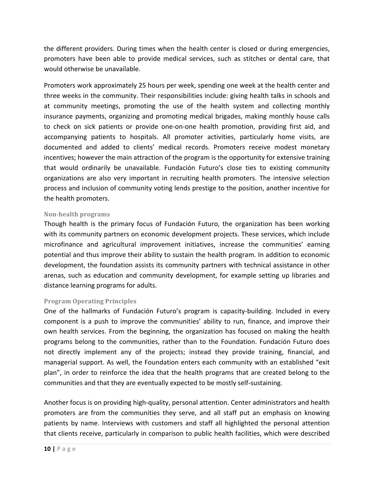the different providers. During times when the health center is closed or during emergencies, promoters have been able to provide medical services, such as stitches or dental care, that would otherwise be unavailable.

Promoters work approximately 25 hours per week, spending one week at the health center and three weeks in the community. Their responsibilities include: giving health talks in schools and at community meetings, promoting the use of the health system and collecting monthly insurance payments, organizing and promoting medical brigades, making monthly house calls to check on sick patients or provide one-on-one health promotion, providing first aid, and accompanying patients to hospitals. All promoter activities, particularly home visits, are documented and added to clients' medical records. Promoters receive modest monetary incentives; however the main attraction of the program is the opportunity for extensive training that would ordinarily be unavailable. Fundación Futuro's close ties to existing community organizations are also very important in recruiting health promoters. The intensive selection process and inclusion of community voting lends prestige to the position, another incentive for the health promoters.

#### **Non/health!programs**

Though health is the primary focus of Fundación Futuro, the organization has been working with its community partners on economic development projects. These services, which include microfinance and agricultural improvement initiatives, increase the communities' earning potential and thus improve their ability to sustain the health program. In addition to economic development, the foundation assists its community partners with technical assistance in other arenas, such as education and community development, for example setting up libraries and distance learning programs for adults.

#### **Program Operating Principles**

One of the hallmarks of Fundación Futuro's program is capacity-building. Included in every component is a push to improve the communities' ability to run, finance, and improve their own health services. From the beginning, the organization has focused on making the health programs belong to the communities, rather than to the Foundation. Fundación Futuro does not directly implement any of the projects; instead they provide training, financial, and managerial support. As well, the Foundation enters each community with an established "exit plan", in order to reinforce the idea that the health programs that are created belong to the communities and that they are eventually expected to be mostly self-sustaining.

Another focus is on providing high-quality, personal attention. Center administrators and health promoters are from the communities they serve, and all staff put an emphasis on knowing patients by name. Interviews with customers and staff all highlighted the personal attention that clients receive, particularly in comparison to public health facilities, which were described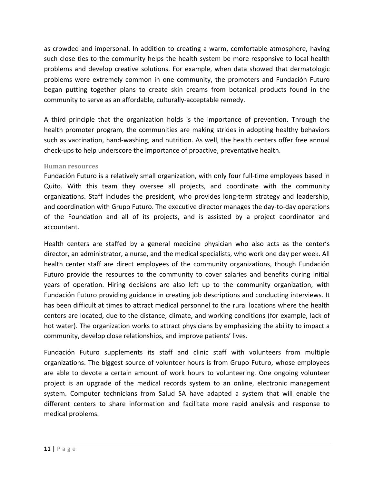as crowded and impersonal. In addition to creating a warm, comfortable atmosphere, having such close ties to the community helps the health system be more responsive to local health problems and develop creative solutions. For example, when data showed that dermatologic problems were extremely common in one community, the promoters and Fundación Futuro began putting together plans to create skin creams from botanical products found in the community to serve as an affordable, culturally-acceptable remedy.

A third principle that the organization holds is the importance of prevention. Through the health promoter program, the communities are making strides in adopting healthy behaviors such as vaccination, hand-washing, and nutrition. As well, the health centers offer free annual check-ups to help underscore the importance of proactive, preventative health.

#### **Human!resources**

Fundación Futuro is a relatively small organization, with only four full-time employees based in Quito. With this team they oversee all projects, and coordinate with the community organizations. Staff includes the president, who provides long-term strategy and leadership, and coordination with Grupo Futuro. The executive director manages the day-to-day operations of the Foundation and all of its projects, and is assisted by a project coordinator and accountant.

Health centers are staffed by a general medicine physician who also acts as the center's director, an administrator, a nurse, and the medical specialists, who work one day per week. All health center staff are direct employees of the community organizations, though Fundación Futuro provide the resources to the community to cover salaries and benefits during initial years of operation. Hiring decisions are also left up to the community organization, with Fundación Futuro providing guidance in creating job descriptions and conducting interviews. It has been difficult at times to attract medical personnel to the rural locations where the health centers are located, due to the distance, climate, and working conditions (for example, lack of hot water). The organization works to attract physicians by emphasizing the ability to impact a community, develop close relationships, and improve patients' lives.

Fundación Futuro supplements its staff and clinic staff with volunteers from multiple organizations. The biggest source of volunteer hours is from Grupo Futuro, whose employees are able to devote a certain amount of work hours to volunteering. One ongoing volunteer project is an upgrade of the medical records system to an online, electronic management system. Computer technicians from Salud SA have adapted a system that will enable the different centers to share information and facilitate more rapid analysis and response to medical problems.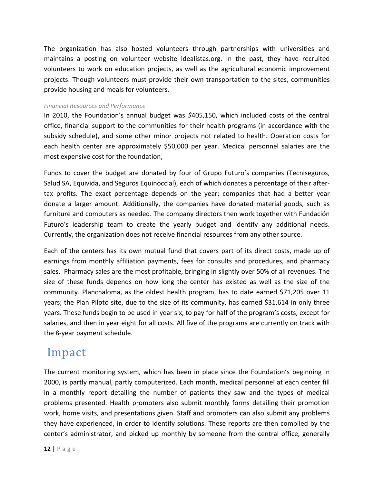The organization has also hosted volunteers through partnerships with universities and maintains a posting on volunteer website idealistas.org. In the past, they have recruited volunteers to work on education projects, as well as the agricultural economic improvement projects. Though volunteers must provide their own transportation to the sites, communities provide housing and meals for volunteers.

#### *Financial!Resources!and!Performance*

In 2010, the Foundation's annual budget was \$405,150, which included costs of the central office, financial support to the communities for their health programs (in accordance with the subsidy schedule), and some other minor projects not related to health. Operation costs for each health center are approximately \$50,000 per year. Medical personnel salaries are the most expensive cost for the foundation,

Funds to cover the budget are donated by four of Grupo Futuro's companies (Tecniseguros, Salud SA, Equivida, and Seguros Equinoccial), each of which donates a percentage of their aftertax profits. The exact percentage depends on the year; companies that had a better year donate a larger amount. Additionally, the companies have donated material goods, such as furniture and computers as needed. The company directors then work together with Fundación Futuro's leadership team to create the yearly budget and identify any additional needs. Currently, the organization does not receive financial resources from any other source.

Each of the centers has its own mutual fund that covers part of its direct costs, made up of earnings from monthly affiliation payments, fees for consults and procedures, and pharmacy sales. Pharmacy sales are the most profitable, bringing in slightly over 50% of all revenues. The size of these funds depends on how long the center has existed as well as the size of the community. Planchaloma, as the oldest health program, has to date earned \$71,205 over 11 years; the Plan Piloto site, due to the size of its community, has earned \$31,614 in only three years. These funds begin to be used in year six, to pay for half of the program's costs, except for salaries, and then in year eight for all costs. All five of the programs are currently on track with the 8-year payment schedule.

### **Impact**

The current monitoring system, which has been in place since the Foundation's beginning in 2000, is partly manual, partly computerized. Each month, medical personnel at each center fill in a monthly report detailing the number of patients they saw and the types of medical problems presented. Health promoters also submit monthly forms detailing their promotion work, home visits, and presentations given. Staff and promoters can also submit any problems they have experienced, in order to identify solutions. These reports are then compiled by the center's administrator, and picked up monthly by someone from the central office, generally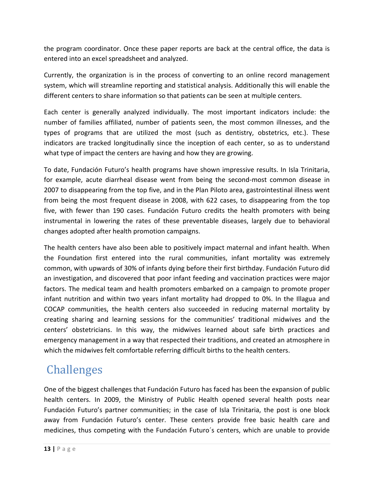the program coordinator. Once these paper reports are back at the central office, the data is entered into an excel spreadsheet and analyzed.

Currently, the organization is in the process of converting to an online record management system, which will streamline reporting and statistical analysis. Additionally this will enable the different centers to share information so that patients can be seen at multiple centers.

Each center is generally analyzed individually. The most important indicators include: the number of families affiliated, number of patients seen, the most common illnesses, and the types of programs that are utilized the most (such as dentistry, obstetrics, etc.). These indicators are tracked longitudinally since the inception of each center, so as to understand what type of impact the centers are having and how they are growing.

To date, Fundación Futuro's health programs have shown impressive results. In Isla Trinitaria, for example, acute diarrheal disease went from being the second-most common disease in 2007 to disappearing from the top five, and in the Plan Piloto area, gastrointestinal illness went from being the most frequent disease in 2008, with 622 cases, to disappearing from the top five, with fewer than 190 cases. Fundación Futuro credits the health promoters with being instrumental in lowering the rates of these preventable diseases, largely due to behavioral changes adopted after health promotion campaigns.

The health centers have also been able to positively impact maternal and infant health. When the Foundation first entered into the rural communities, infant mortality was extremely common, with upwards of 30% of infants dying before their first birthday. Fundación Futuro did an investigation, and discovered that poor infant feeding and vaccination practices were major factors. The medical team and health promoters embarked on a campaign to promote proper infant nutrition and within two years infant mortality had dropped to 0%. In the Illagua and COCAP communities, the health centers also succeeded in reducing maternal mortality by creating sharing and learning sessions for the communities' traditional midwives and the centers' obstetricians. In this way, the midwives learned about safe birth practices and emergency management in a way that respected their traditions, and created an atmosphere in which the midwives felt comfortable referring difficult births to the health centers.

### **Challenges**

One of the biggest challenges that Fundación Futuro has faced has been the expansion of public health centers. In 2009, the Ministry of Public Health opened several health posts near Fundación Futuro's partner communities; in the case of Isla Trinitaria, the post is one block away from Fundación Futuro's center. These centers provide free basic health care and medicines, thus competing with the Fundación Futuro's centers, which are unable to provide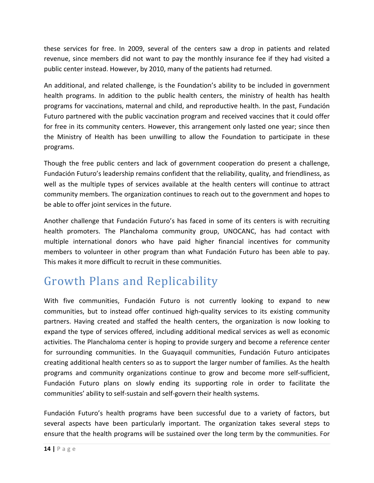these services for free. In 2009, several of the centers saw a drop in patients and related revenue, since members did not want to pay the monthly insurance fee if they had visited a public center instead. However, by 2010, many of the patients had returned.

An additional, and related challenge, is the Foundation's ability to be included in government health programs. In addition to the public health centers, the ministry of health has health programs for vaccinations, maternal and child, and reproductive health. In the past, Fundación Futuro partnered with the public vaccination program and received vaccines that it could offer for free in its community centers. However, this arrangement only lasted one year; since then the Ministry of Health has been unwilling to allow the Foundation to participate in these programs.!

Though the free public centers and lack of government cooperation do present a challenge, Fundación Futuro's leadership remains confident that the reliability, quality, and friendliness, as well as the multiple types of services available at the health centers will continue to attract community members. The organization continues to reach out to the government and hopes to be able to offer joint services in the future.

Another challenge that Fundación Futuro's has faced in some of its centers is with recruiting health promoters. The Planchaloma community group, UNOCANC, has had contact with multiple international donors who have paid higher financial incentives for community members to volunteer in other program than what Fundación Futuro has been able to pay. This makes it more difficult to recruit in these communities.

### Growth Plans and Replicability

With five communities, Fundación Futuro is not currently looking to expand to new communities, but to instead offer continued high-quality services to its existing community partners. Having created and staffed the health centers, the organization is now looking to expand the type of services offered, including additional medical services as well as economic activities. The Planchaloma center is hoping to provide surgery and become a reference center for surrounding communities. In the Guayaquil communities, Fundación Futuro anticipates creating additional health centers so as to support the larger number of families. As the health programs and community organizations continue to grow and become more self-sufficient, Fundación Futuro plans on slowly ending its supporting role in order to facilitate the communities' ability to self-sustain and self-govern their health systems.

Fundación Futuro's health programs have been successful due to a variety of factors, but several aspects have been particularly important. The organization takes several steps to ensure that the health programs will be sustained over the long term by the communities. For